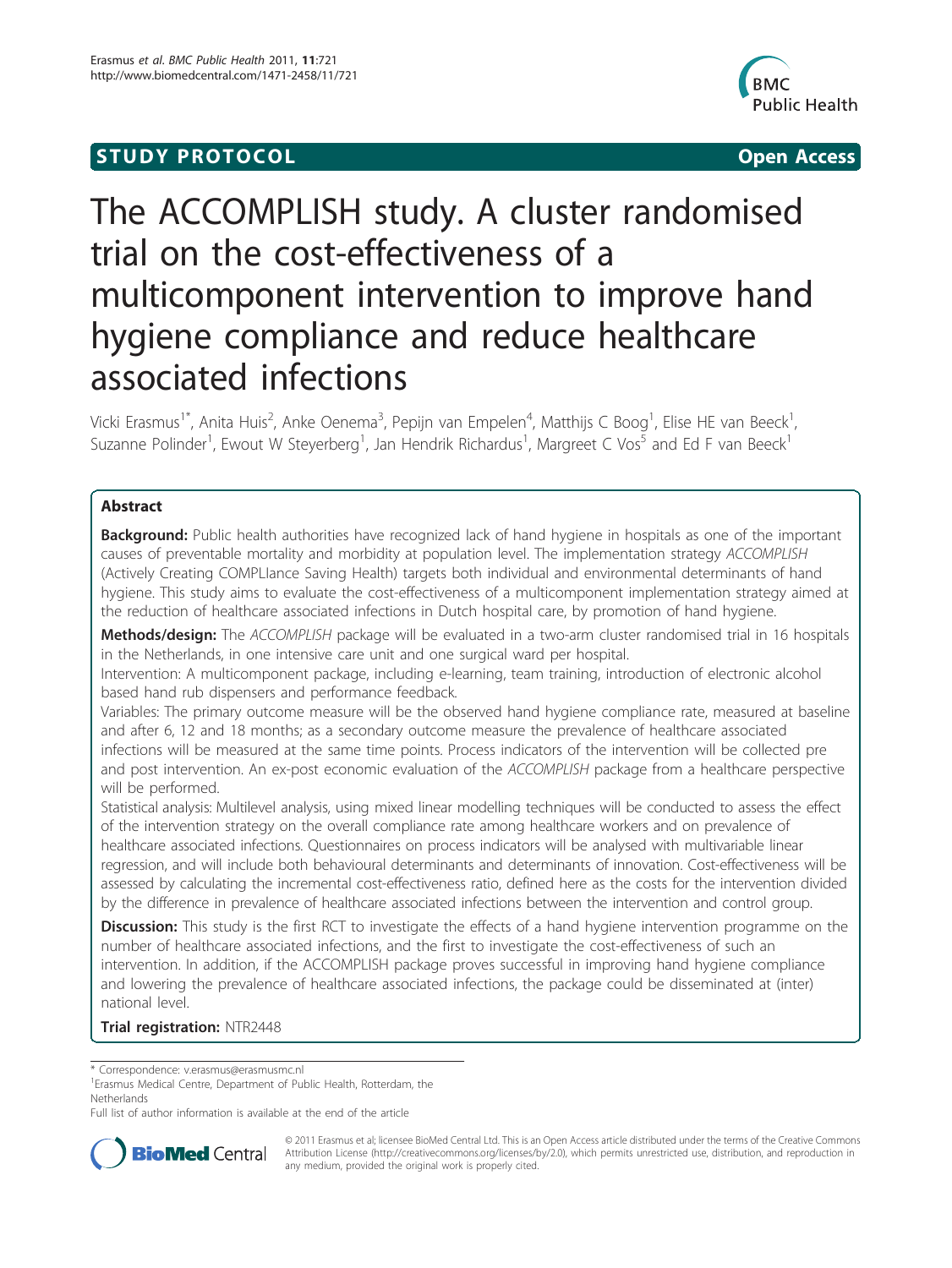## **STUDY PROTOCOL** CONTROL CONTROL CONTROL CONTROL CONTROL CONTROL CONTROL CONTROL CONTROL CONTROL CONTROL CONTROL CONTROL CONTROL CONTROL CONTROL CONTROL CONTROL CONTROL CONTROL CONTROL CONTROL CONTROL CONTROL CONTROL CONTR



# The ACCOMPLISH study. A cluster randomised trial on the cost-effectiveness of a multicomponent intervention to improve hand hygiene compliance and reduce healthcare associated infections

Vicki Erasmus<sup>1\*</sup>, Anita Huis<sup>2</sup>, Anke Oenema<sup>3</sup>, Pepijn van Empelen<sup>4</sup>, Matthijs C Boog<sup>1</sup>, Elise HE van Beeck<sup>1</sup> , Suzanne Polinder<sup>1</sup>, Ewout W Steyerberg<sup>1</sup>, Jan Hendrik Richardus<sup>1</sup>, Margreet C Vos<sup>5</sup> and Ed F van Beeck<sup>1</sup>

## Abstract

**Background:** Public health authorities have recognized lack of hand hygiene in hospitals as one of the important causes of preventable mortality and morbidity at population level. The implementation strategy ACCOMPLISH (Actively Creating COMPLIance Saving Health) targets both individual and environmental determinants of hand hygiene. This study aims to evaluate the cost-effectiveness of a multicomponent implementation strategy aimed at the reduction of healthcare associated infections in Dutch hospital care, by promotion of hand hygiene.

Methods/design: The ACCOMPLISH package will be evaluated in a two-arm cluster randomised trial in 16 hospitals in the Netherlands, in one intensive care unit and one surgical ward per hospital.

Intervention: A multicomponent package, including e-learning, team training, introduction of electronic alcohol based hand rub dispensers and performance feedback.

Variables: The primary outcome measure will be the observed hand hygiene compliance rate, measured at baseline and after 6, 12 and 18 months; as a secondary outcome measure the prevalence of healthcare associated infections will be measured at the same time points. Process indicators of the intervention will be collected pre and post intervention. An ex-post economic evaluation of the ACCOMPLISH package from a healthcare perspective will be performed.

Statistical analysis: Multilevel analysis, using mixed linear modelling techniques will be conducted to assess the effect of the intervention strategy on the overall compliance rate among healthcare workers and on prevalence of healthcare associated infections. Questionnaires on process indicators will be analysed with multivariable linear regression, and will include both behavioural determinants and determinants of innovation. Cost-effectiveness will be assessed by calculating the incremental cost-effectiveness ratio, defined here as the costs for the intervention divided by the difference in prevalence of healthcare associated infections between the intervention and control group.

Discussion: This study is the first RCT to investigate the effects of a hand hygiene intervention programme on the number of healthcare associated infections, and the first to investigate the cost-effectiveness of such an intervention. In addition, if the ACCOMPLISH package proves successful in improving hand hygiene compliance and lowering the prevalence of healthcare associated infections, the package could be disseminated at (inter) national level.

Trial registration: [NTR2448](http://www.trialregister.nl/trialreg/admin/rctview.asp?TC=2448)

\* Correspondence: [v.erasmus@erasmusmc.nl](mailto:v.erasmus@erasmusmc.nl)

<sup>1</sup> Erasmus Medical Centre, Department of Public Health, Rotterdam, the Netherlands

Full list of author information is available at the end of the article



© 2011 Erasmus et al; licensee BioMed Central Ltd. This is an Open Access article distributed under the terms of the Creative Commons Attribution License [\(http://creativecommons.org/licenses/by/2.0](http://creativecommons.org/licenses/by/2.0)), which permits unrestricted use, distribution, and reproduction in any medium, provided the original work is properly cited.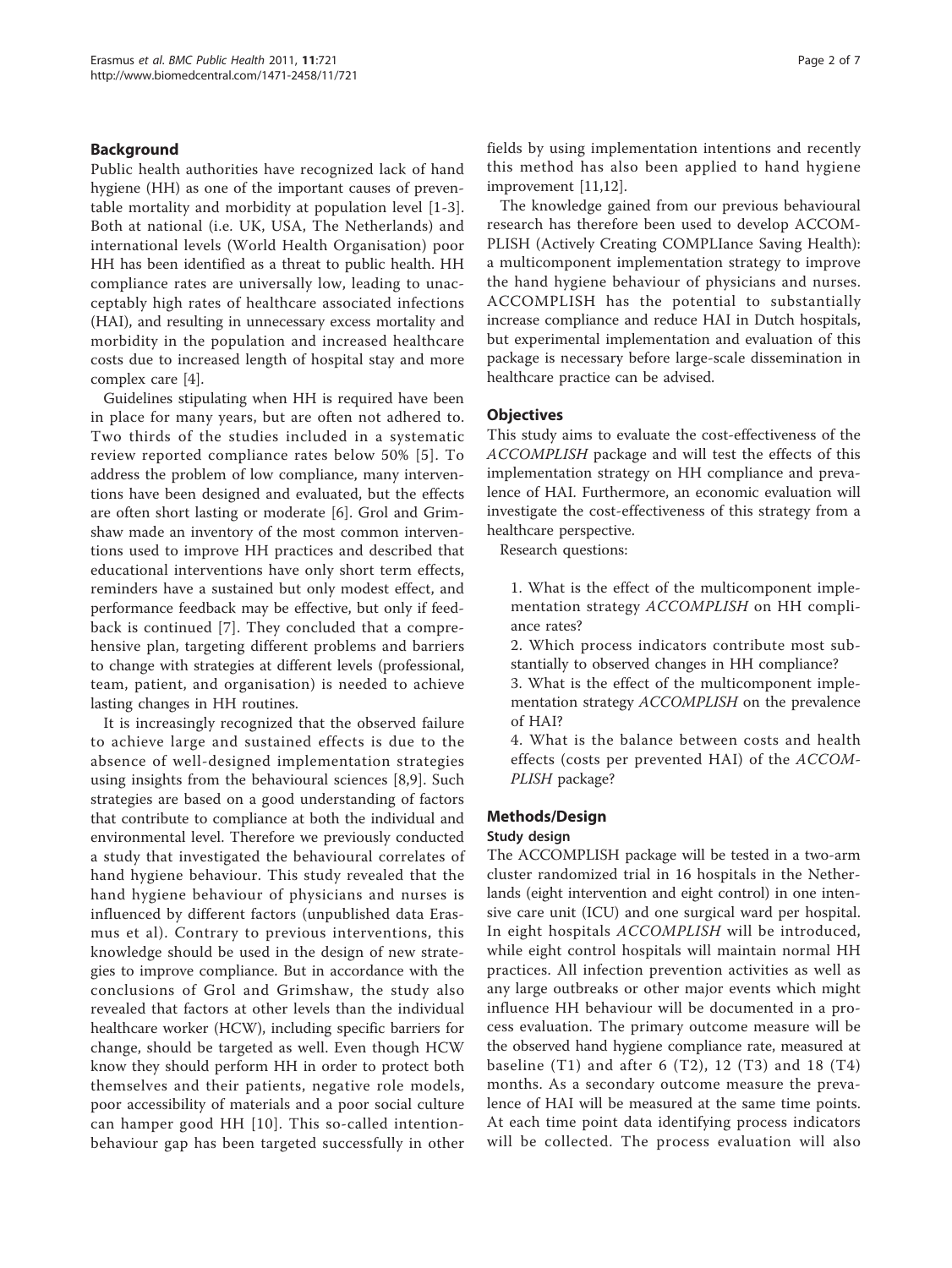## Background

Public health authorities have recognized lack of hand hygiene (HH) as one of the important causes of preventable mortality and morbidity at population level [\[1](#page-6-0)-[3](#page-6-0)]. Both at national (i.e. UK, USA, The Netherlands) and international levels (World Health Organisation) poor HH has been identified as a threat to public health. HH compliance rates are universally low, leading to unacceptably high rates of healthcare associated infections (HAI), and resulting in unnecessary excess mortality and morbidity in the population and increased healthcare costs due to increased length of hospital stay and more complex care [[4](#page-6-0)].

Guidelines stipulating when HH is required have been in place for many years, but are often not adhered to. Two thirds of the studies included in a systematic review reported compliance rates below 50% [[5\]](#page-6-0). To address the problem of low compliance, many interventions have been designed and evaluated, but the effects are often short lasting or moderate [[6](#page-6-0)]. Grol and Grimshaw made an inventory of the most common interventions used to improve HH practices and described that educational interventions have only short term effects, reminders have a sustained but only modest effect, and performance feedback may be effective, but only if feedback is continued [[7\]](#page-6-0). They concluded that a comprehensive plan, targeting different problems and barriers to change with strategies at different levels (professional, team, patient, and organisation) is needed to achieve lasting changes in HH routines.

It is increasingly recognized that the observed failure to achieve large and sustained effects is due to the absence of well-designed implementation strategies using insights from the behavioural sciences [\[8,9](#page-6-0)]. Such strategies are based on a good understanding of factors that contribute to compliance at both the individual and environmental level. Therefore we previously conducted a study that investigated the behavioural correlates of hand hygiene behaviour. This study revealed that the hand hygiene behaviour of physicians and nurses is influenced by different factors (unpublished data Erasmus et al). Contrary to previous interventions, this knowledge should be used in the design of new strategies to improve compliance. But in accordance with the conclusions of Grol and Grimshaw, the study also revealed that factors at other levels than the individual healthcare worker (HCW), including specific barriers for change, should be targeted as well. Even though HCW know they should perform HH in order to protect both themselves and their patients, negative role models, poor accessibility of materials and a poor social culture can hamper good HH [[10](#page-6-0)]. This so-called intentionbehaviour gap has been targeted successfully in other fields by using implementation intentions and recently this method has also been applied to hand hygiene improvement [[11](#page-6-0),[12](#page-6-0)].

The knowledge gained from our previous behavioural research has therefore been used to develop ACCOM-PLISH (Actively Creating COMPLIance Saving Health): a multicomponent implementation strategy to improve the hand hygiene behaviour of physicians and nurses. ACCOMPLISH has the potential to substantially increase compliance and reduce HAI in Dutch hospitals, but experimental implementation and evaluation of this package is necessary before large-scale dissemination in healthcare practice can be advised.

#### **Objectives**

This study aims to evaluate the cost-effectiveness of the ACCOMPLISH package and will test the effects of this implementation strategy on HH compliance and prevalence of HAI. Furthermore, an economic evaluation will investigate the cost-effectiveness of this strategy from a healthcare perspective.

Research questions:

1. What is the effect of the multicomponent implementation strategy ACCOMPLISH on HH compliance rates?

2. Which process indicators contribute most substantially to observed changes in HH compliance?

3. What is the effect of the multicomponent implementation strategy ACCOMPLISH on the prevalence of HAI?

4. What is the balance between costs and health effects (costs per prevented HAI) of the ACCOM-PLISH package?

## Methods/Design

#### Study design

The ACCOMPLISH package will be tested in a two-arm cluster randomized trial in 16 hospitals in the Netherlands (eight intervention and eight control) in one intensive care unit (ICU) and one surgical ward per hospital. In eight hospitals ACCOMPLISH will be introduced, while eight control hospitals will maintain normal HH practices. All infection prevention activities as well as any large outbreaks or other major events which might influence HH behaviour will be documented in a process evaluation. The primary outcome measure will be the observed hand hygiene compliance rate, measured at baseline (T1) and after 6 (T2), 12 (T3) and 18 (T4) months. As a secondary outcome measure the prevalence of HAI will be measured at the same time points. At each time point data identifying process indicators will be collected. The process evaluation will also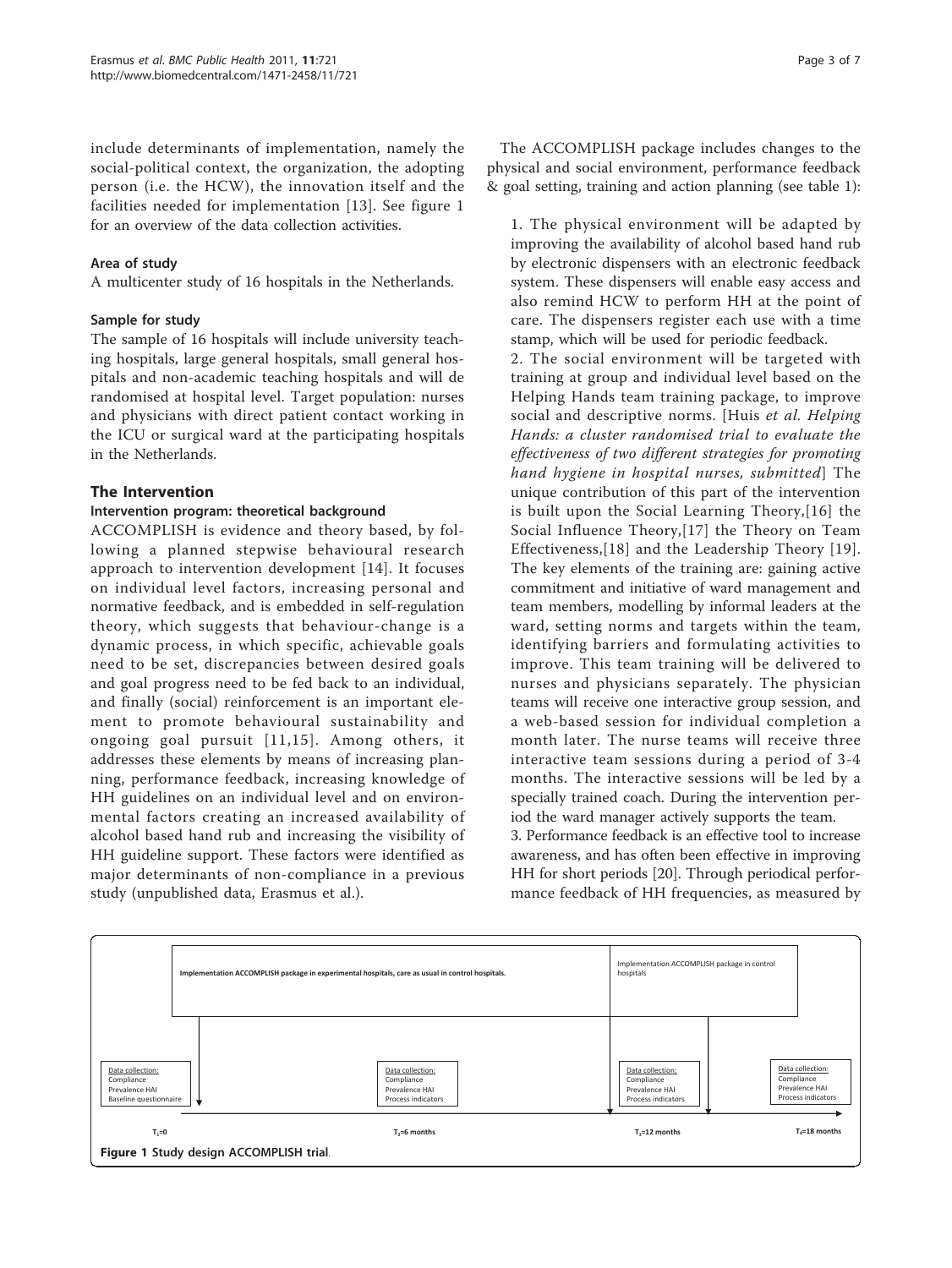include determinants of implementation, namely the social-political context, the organization, the adopting person (i.e. the HCW), the innovation itself and the facilities needed for implementation [[13](#page-6-0)]. See figure 1 for an overview of the data collection activities.

## Area of study

A multicenter study of 16 hospitals in the Netherlands.

## Sample for study

The sample of 16 hospitals will include university teaching hospitals, large general hospitals, small general hospitals and non-academic teaching hospitals and will de randomised at hospital level. Target population: nurses and physicians with direct patient contact working in the ICU or surgical ward at the participating hospitals in the Netherlands.

## The Intervention

## Intervention program: theoretical background

ACCOMPLISH is evidence and theory based, by following a planned stepwise behavioural research approach to intervention development [[14\]](#page-6-0). It focuses on individual level factors, increasing personal and normative feedback, and is embedded in self-regulation theory, which suggests that behaviour-change is a dynamic process, in which specific, achievable goals need to be set, discrepancies between desired goals and goal progress need to be fed back to an individual, and finally (social) reinforcement is an important element to promote behavioural sustainability and ongoing goal pursuit [[11,15\]](#page-6-0). Among others, it addresses these elements by means of increasing planning, performance feedback, increasing knowledge of HH guidelines on an individual level and on environmental factors creating an increased availability of alcohol based hand rub and increasing the visibility of HH guideline support. These factors were identified as major determinants of non-compliance in a previous study (unpublished data, Erasmus et al.).

The ACCOMPLISH package includes changes to the physical and social environment, performance feedback & goal setting, training and action planning (see table [1](#page-3-0)):

1. The physical environment will be adapted by improving the availability of alcohol based hand rub by electronic dispensers with an electronic feedback system. These dispensers will enable easy access and also remind HCW to perform HH at the point of care. The dispensers register each use with a time stamp, which will be used for periodic feedback.

2. The social environment will be targeted with training at group and individual level based on the Helping Hands team training package, to improve social and descriptive norms. [Huis et al. Helping Hands: a cluster randomised trial to evaluate the effectiveness of two different strategies for promoting hand hygiene in hospital nurses, submitted] The unique contribution of this part of the intervention is built upon the Social Learning Theory,[\[16\]](#page-6-0) the Social Influence Theory,[[17\]](#page-6-0) the Theory on Team Effectiveness,[[18](#page-6-0)] and the Leadership Theory [[19](#page-6-0)]. The key elements of the training are: gaining active commitment and initiative of ward management and team members, modelling by informal leaders at the ward, setting norms and targets within the team, identifying barriers and formulating activities to improve. This team training will be delivered to nurses and physicians separately. The physician teams will receive one interactive group session, and a web-based session for individual completion a month later. The nurse teams will receive three interactive team sessions during a period of 3-4 months. The interactive sessions will be led by a specially trained coach. During the intervention period the ward manager actively supports the team.

3. Performance feedback is an effective tool to increase awareness, and has often been effective in improving HH for short periods [\[20](#page-6-0)]. Through periodical performance feedback of HH frequencies, as measured by

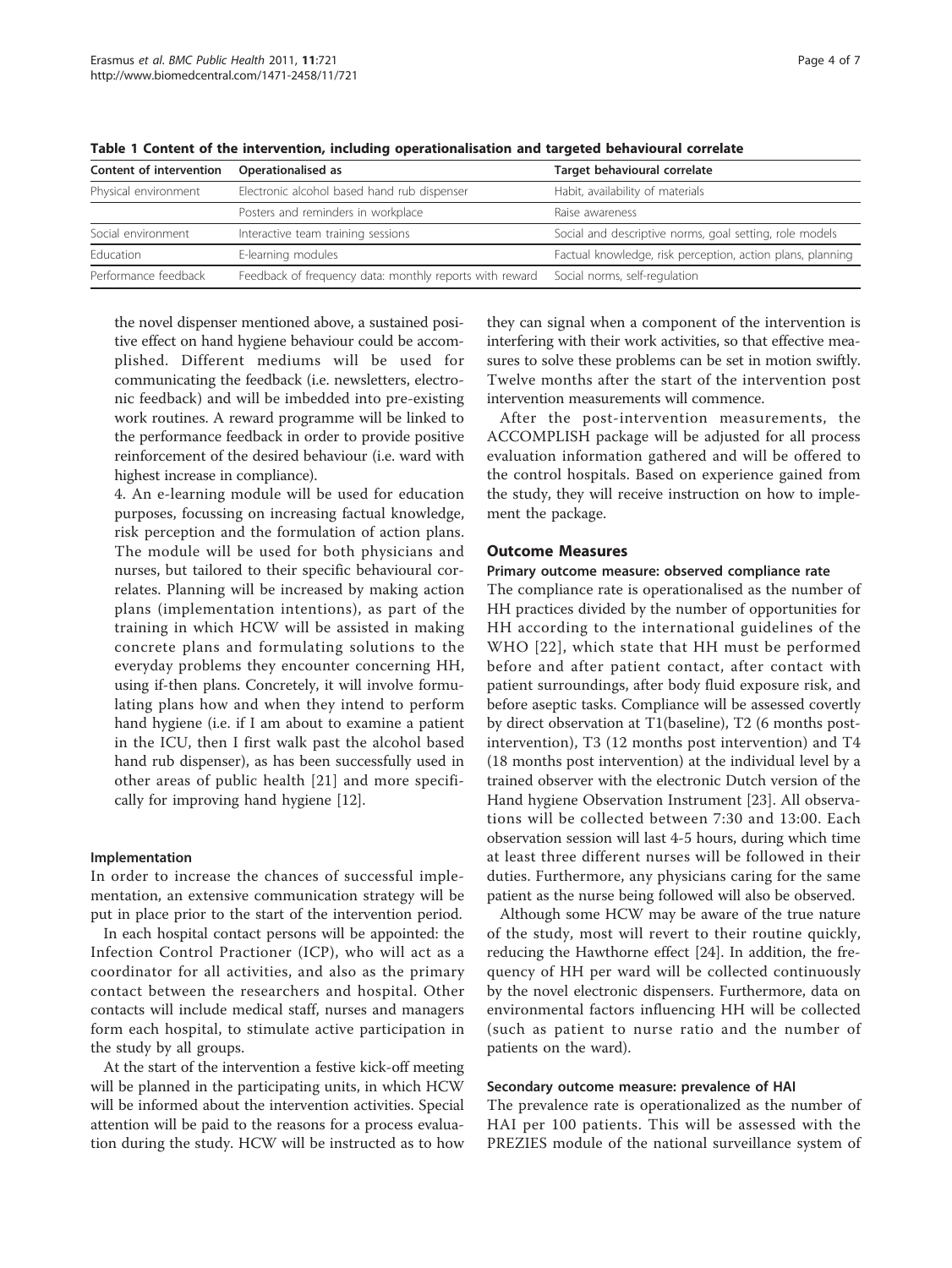| Content of intervention | Operationalised as                                      | Target behavioural correlate<br>Habit, availability of materials |  |
|-------------------------|---------------------------------------------------------|------------------------------------------------------------------|--|
| Physical environment    | Electronic alcohol based hand rub dispenser             |                                                                  |  |
|                         | Posters and reminders in workplace                      | Raise awareness                                                  |  |
| Social environment      | Interactive team training sessions                      | Social and descriptive norms, goal setting, role models          |  |
| Education               | E-learning modules                                      | Factual knowledge, risk perception, action plans, planning       |  |
| Performance feedback    | Feedback of frequency data: monthly reports with reward | Social norms, self-regulation                                    |  |

<span id="page-3-0"></span>Table 1 Content of the intervention, including operationalisation and targeted behavioural correlate

the novel dispenser mentioned above, a sustained positive effect on hand hygiene behaviour could be accomplished. Different mediums will be used for communicating the feedback (i.e. newsletters, electronic feedback) and will be imbedded into pre-existing work routines. A reward programme will be linked to the performance feedback in order to provide positive reinforcement of the desired behaviour (i.e. ward with highest increase in compliance).

4. An e-learning module will be used for education purposes, focussing on increasing factual knowledge, risk perception and the formulation of action plans. The module will be used for both physicians and nurses, but tailored to their specific behavioural correlates. Planning will be increased by making action plans (implementation intentions), as part of the training in which HCW will be assisted in making concrete plans and formulating solutions to the everyday problems they encounter concerning HH, using if-then plans. Concretely, it will involve formulating plans how and when they intend to perform hand hygiene (i.e. if I am about to examine a patient in the ICU, then I first walk past the alcohol based hand rub dispenser), as has been successfully used in other areas of public health [[21](#page-6-0)] and more specifically for improving hand hygiene [[12\]](#page-6-0).

#### Implementation

In order to increase the chances of successful implementation, an extensive communication strategy will be put in place prior to the start of the intervention period.

In each hospital contact persons will be appointed: the Infection Control Practioner (ICP), who will act as a coordinator for all activities, and also as the primary contact between the researchers and hospital. Other contacts will include medical staff, nurses and managers form each hospital, to stimulate active participation in the study by all groups.

At the start of the intervention a festive kick-off meeting will be planned in the participating units, in which HCW will be informed about the intervention activities. Special attention will be paid to the reasons for a process evaluation during the study. HCW will be instructed as to how

they can signal when a component of the intervention is interfering with their work activities, so that effective measures to solve these problems can be set in motion swiftly. Twelve months after the start of the intervention post intervention measurements will commence.

After the post-intervention measurements, the ACCOMPLISH package will be adjusted for all process evaluation information gathered and will be offered to the control hospitals. Based on experience gained from the study, they will receive instruction on how to implement the package.

#### Outcome Measures

#### Primary outcome measure: observed compliance rate

The compliance rate is operationalised as the number of HH practices divided by the number of opportunities for HH according to the international guidelines of the WHO [[22\]](#page-6-0), which state that HH must be performed before and after patient contact, after contact with patient surroundings, after body fluid exposure risk, and before aseptic tasks. Compliance will be assessed covertly by direct observation at T1(baseline), T2 (6 months postintervention), T3 (12 months post intervention) and T4 (18 months post intervention) at the individual level by a trained observer with the electronic Dutch version of the Hand hygiene Observation Instrument [\[23](#page-6-0)]. All observations will be collected between 7:30 and 13:00. Each observation session will last 4-5 hours, during which time at least three different nurses will be followed in their duties. Furthermore, any physicians caring for the same patient as the nurse being followed will also be observed.

Although some HCW may be aware of the true nature of the study, most will revert to their routine quickly, reducing the Hawthorne effect [[24\]](#page-6-0). In addition, the frequency of HH per ward will be collected continuously by the novel electronic dispensers. Furthermore, data on environmental factors influencing HH will be collected (such as patient to nurse ratio and the number of patients on the ward).

#### Secondary outcome measure: prevalence of HAI

The prevalence rate is operationalized as the number of HAI per 100 patients. This will be assessed with the PREZIES module of the national surveillance system of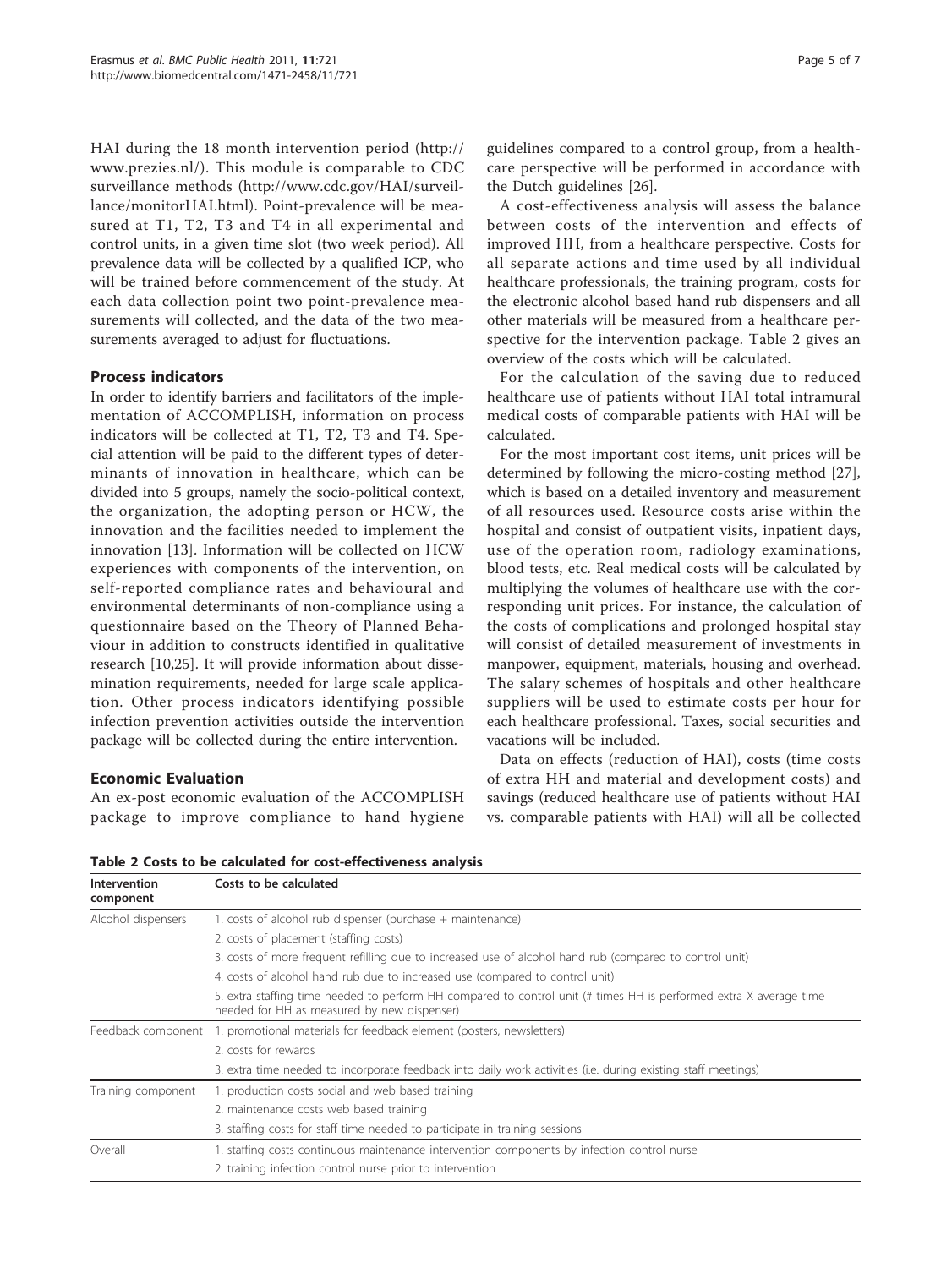HAI during the 18 month intervention period ([http://](http://www.prezies.nl/) [www.prezies.nl/](http://www.prezies.nl/)). This module is comparable to CDC surveillance methods [\(http://www.cdc.gov/HAI/surveil](http://www.cdc.gov/HAI/surveillance/monitorHAI.html)[lance/monitorHAI.html\)](http://www.cdc.gov/HAI/surveillance/monitorHAI.html). Point-prevalence will be measured at T1, T2, T3 and T4 in all experimental and control units, in a given time slot (two week period). All prevalence data will be collected by a qualified ICP, who will be trained before commencement of the study. At each data collection point two point-prevalence measurements will collected, and the data of the two measurements averaged to adjust for fluctuations.

## Process indicators

In order to identify barriers and facilitators of the implementation of ACCOMPLISH, information on process indicators will be collected at T1, T2, T3 and T4. Special attention will be paid to the different types of determinants of innovation in healthcare, which can be divided into 5 groups, namely the socio-political context, the organization, the adopting person or HCW, the innovation and the facilities needed to implement the innovation [[13\]](#page-6-0). Information will be collected on HCW experiences with components of the intervention, on self-reported compliance rates and behavioural and environmental determinants of non-compliance using a questionnaire based on the Theory of Planned Behaviour in addition to constructs identified in qualitative research [\[10,25\]](#page-6-0). It will provide information about dissemination requirements, needed for large scale application. Other process indicators identifying possible infection prevention activities outside the intervention package will be collected during the entire intervention.

## Economic Evaluation

An ex-post economic evaluation of the ACCOMPLISH package to improve compliance to hand hygiene

guidelines compared to a control group, from a healthcare perspective will be performed in accordance with the Dutch guidelines [\[26](#page-6-0)].

A cost-effectiveness analysis will assess the balance between costs of the intervention and effects of improved HH, from a healthcare perspective. Costs for all separate actions and time used by all individual healthcare professionals, the training program, costs for the electronic alcohol based hand rub dispensers and all other materials will be measured from a healthcare perspective for the intervention package. Table 2 gives an overview of the costs which will be calculated.

For the calculation of the saving due to reduced healthcare use of patients without HAI total intramural medical costs of comparable patients with HAI will be calculated.

For the most important cost items, unit prices will be determined by following the micro-costing method [\[27](#page-6-0)], which is based on a detailed inventory and measurement of all resources used. Resource costs arise within the hospital and consist of outpatient visits, inpatient days, use of the operation room, radiology examinations, blood tests, etc. Real medical costs will be calculated by multiplying the volumes of healthcare use with the corresponding unit prices. For instance, the calculation of the costs of complications and prolonged hospital stay will consist of detailed measurement of investments in manpower, equipment, materials, housing and overhead. The salary schemes of hospitals and other healthcare suppliers will be used to estimate costs per hour for each healthcare professional. Taxes, social securities and vacations will be included.

Data on effects (reduction of HAI), costs (time costs of extra HH and material and development costs) and savings (reduced healthcare use of patients without HAI vs. comparable patients with HAI) will all be collected

|  |  | Table 2 Costs to be calculated for cost-effectiveness analysis |  |
|--|--|----------------------------------------------------------------|--|
|  |  |                                                                |  |

| Intervention<br>component | Costs to be calculated                                                                                                                                            |
|---------------------------|-------------------------------------------------------------------------------------------------------------------------------------------------------------------|
| Alcohol dispensers        | 1. costs of alcohol rub dispenser (purchase $+$ maintenance)                                                                                                      |
|                           | 2. costs of placement (staffing costs)                                                                                                                            |
|                           | 3. costs of more frequent refilling due to increased use of alcohol hand rub (compared to control unit)                                                           |
|                           | 4. costs of alcohol hand rub due to increased use (compared to control unit)                                                                                      |
|                           | 5. extra staffing time needed to perform HH compared to control unit (# times HH is performed extra X average time<br>needed for HH as measured by new dispenser) |
| Feedback component        | 1. promotional materials for feedback element (posters, newsletters)                                                                                              |
|                           | 2. costs for rewards                                                                                                                                              |
|                           | 3. extra time needed to incorporate feedback into daily work activities (i.e. during existing staff meetings)                                                     |
| Training component        | 1. production costs social and web based training                                                                                                                 |
|                           | 2. maintenance costs web based training                                                                                                                           |
|                           | 3. staffing costs for staff time needed to participate in training sessions                                                                                       |
| Overall                   | 1. staffing costs continuous maintenance intervention components by infection control nurse                                                                       |
|                           | 2. training infection control nurse prior to intervention                                                                                                         |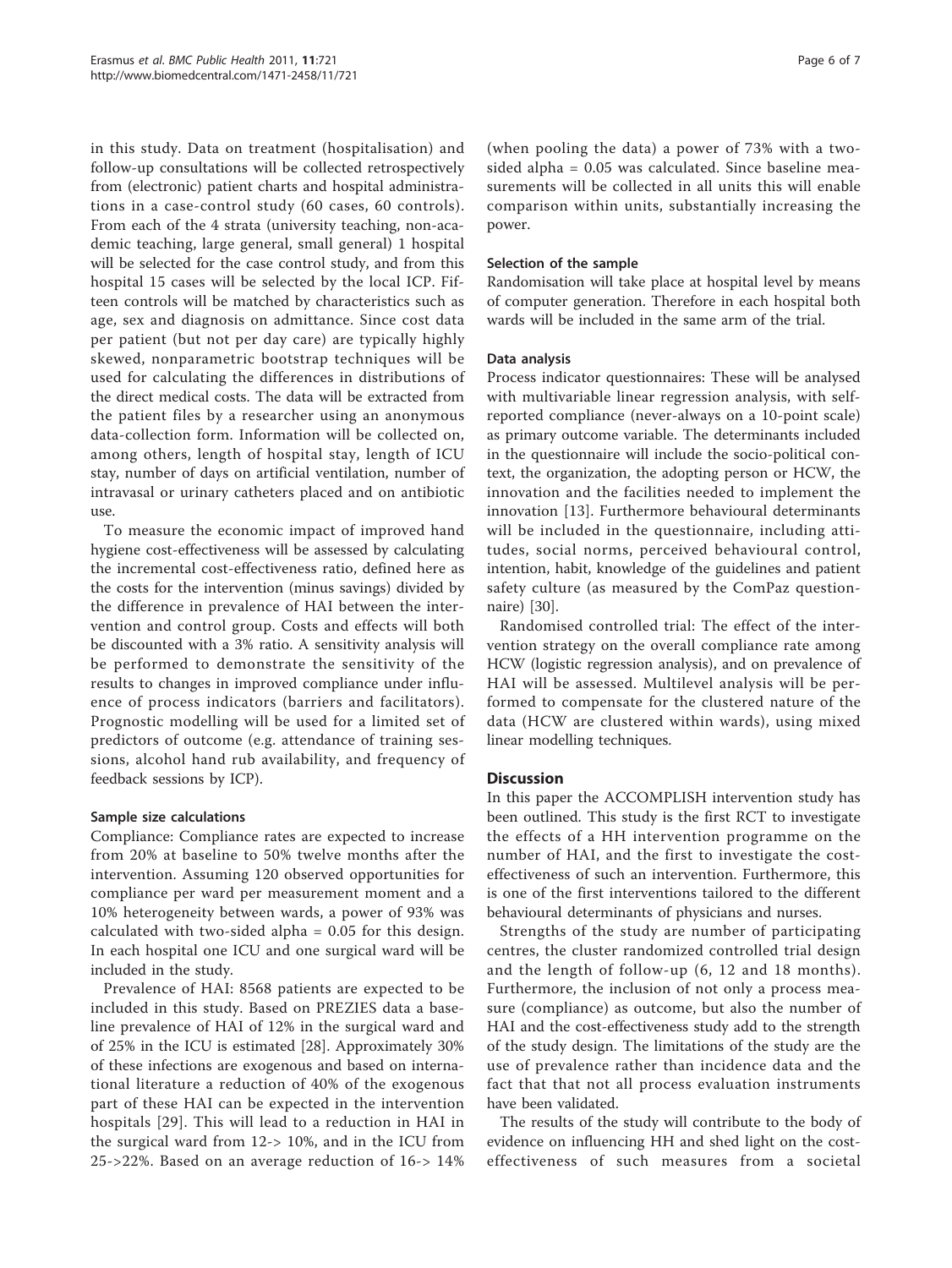in this study. Data on treatment (hospitalisation) and follow-up consultations will be collected retrospectively from (electronic) patient charts and hospital administrations in a case-control study (60 cases, 60 controls). From each of the 4 strata (university teaching, non-academic teaching, large general, small general) 1 hospital will be selected for the case control study, and from this hospital 15 cases will be selected by the local ICP. Fifteen controls will be matched by characteristics such as age, sex and diagnosis on admittance. Since cost data per patient (but not per day care) are typically highly skewed, nonparametric bootstrap techniques will be used for calculating the differences in distributions of the direct medical costs. The data will be extracted from the patient files by a researcher using an anonymous data-collection form. Information will be collected on, among others, length of hospital stay, length of ICU stay, number of days on artificial ventilation, number of intravasal or urinary catheters placed and on antibiotic  $11S$ e $\theta$ 

To measure the economic impact of improved hand hygiene cost-effectiveness will be assessed by calculating the incremental cost-effectiveness ratio, defined here as the costs for the intervention (minus savings) divided by the difference in prevalence of HAI between the intervention and control group. Costs and effects will both be discounted with a 3% ratio. A sensitivity analysis will be performed to demonstrate the sensitivity of the results to changes in improved compliance under influence of process indicators (barriers and facilitators). Prognostic modelling will be used for a limited set of predictors of outcome (e.g. attendance of training sessions, alcohol hand rub availability, and frequency of feedback sessions by ICP).

## Sample size calculations

Compliance: Compliance rates are expected to increase from 20% at baseline to 50% twelve months after the intervention. Assuming 120 observed opportunities for compliance per ward per measurement moment and a 10% heterogeneity between wards, a power of 93% was calculated with two-sided alpha = 0.05 for this design. In each hospital one ICU and one surgical ward will be included in the study.

Prevalence of HAI: 8568 patients are expected to be included in this study. Based on PREZIES data a baseline prevalence of HAI of 12% in the surgical ward and of 25% in the ICU is estimated [\[28](#page-6-0)]. Approximately 30% of these infections are exogenous and based on international literature a reduction of 40% of the exogenous part of these HAI can be expected in the intervention hospitals [\[29\]](#page-6-0). This will lead to a reduction in HAI in the surgical ward from 12-> 10%, and in the ICU from 25->22%. Based on an average reduction of 16-> 14%

(when pooling the data) a power of 73% with a twosided alpha = 0.05 was calculated. Since baseline measurements will be collected in all units this will enable comparison within units, substantially increasing the power.

## Selection of the sample

Randomisation will take place at hospital level by means of computer generation. Therefore in each hospital both wards will be included in the same arm of the trial.

### Data analysis

Process indicator questionnaires: These will be analysed with multivariable linear regression analysis, with selfreported compliance (never-always on a 10-point scale) as primary outcome variable. The determinants included in the questionnaire will include the socio-political context, the organization, the adopting person or HCW, the innovation and the facilities needed to implement the innovation [\[13](#page-6-0)]. Furthermore behavioural determinants will be included in the questionnaire, including attitudes, social norms, perceived behavioural control, intention, habit, knowledge of the guidelines and patient safety culture (as measured by the ComPaz questionnaire) [[30](#page-6-0)].

Randomised controlled trial: The effect of the intervention strategy on the overall compliance rate among HCW (logistic regression analysis), and on prevalence of HAI will be assessed. Multilevel analysis will be performed to compensate for the clustered nature of the data (HCW are clustered within wards), using mixed linear modelling techniques.

## **Discussion**

In this paper the ACCOMPLISH intervention study has been outlined. This study is the first RCT to investigate the effects of a HH intervention programme on the number of HAI, and the first to investigate the costeffectiveness of such an intervention. Furthermore, this is one of the first interventions tailored to the different behavioural determinants of physicians and nurses.

Strengths of the study are number of participating centres, the cluster randomized controlled trial design and the length of follow-up (6, 12 and 18 months). Furthermore, the inclusion of not only a process measure (compliance) as outcome, but also the number of HAI and the cost-effectiveness study add to the strength of the study design. The limitations of the study are the use of prevalence rather than incidence data and the fact that that not all process evaluation instruments have been validated.

The results of the study will contribute to the body of evidence on influencing HH and shed light on the costeffectiveness of such measures from a societal